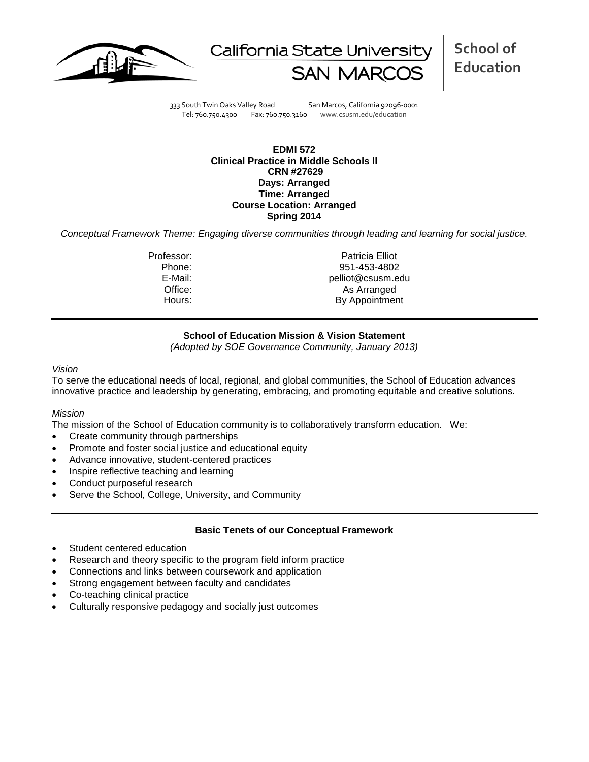



**School of Education**

333 South Twin Oaks Valley Road San Marcos, California 92096-0001 Tel: 760.750.4300 Fax: 760.750.3160 www.csusm.edu/education

**EDMI 572 Clinical Practice in Middle Schools II CRN #27629 Days: Arranged Time: Arranged Course Location: Arranged Spring 2014** 

*Conceptual Framework Theme: Engaging diverse communities through leading and learning for social justice.*

Professor: Professor: Patricia Elliot Phone: 951-453-4802<br>E-Mail: eliot@csusm.e pelliot@csusm.edu Office: As Arranged Hours: By Appointment

## **School of Education Mission & Vision Statement**

*(Adopted by SOE Governance Community, January 2013)*

#### *Vision*

To serve the educational needs of local, regional, and global communities, the School of Education advances innovative practice and leadership by generating, embracing, and promoting equitable and creative solutions.

## *Mission*

The mission of the School of Education community is to collaboratively transform education. We:

- Create community through partnerships
- Promote and foster social justice and educational equity
- Advance innovative, student-centered practices
- Inspire reflective teaching and learning
- Conduct purposeful research
- Serve the School, College, University, and Community

## **Basic Tenets of our Conceptual Framework**

- Student centered education
- Research and theory specific to the program field inform practice
- Connections and links between coursework and application
- Strong engagement between faculty and candidates
- Co-teaching clinical practice
- Culturally responsive pedagogy and socially just outcomes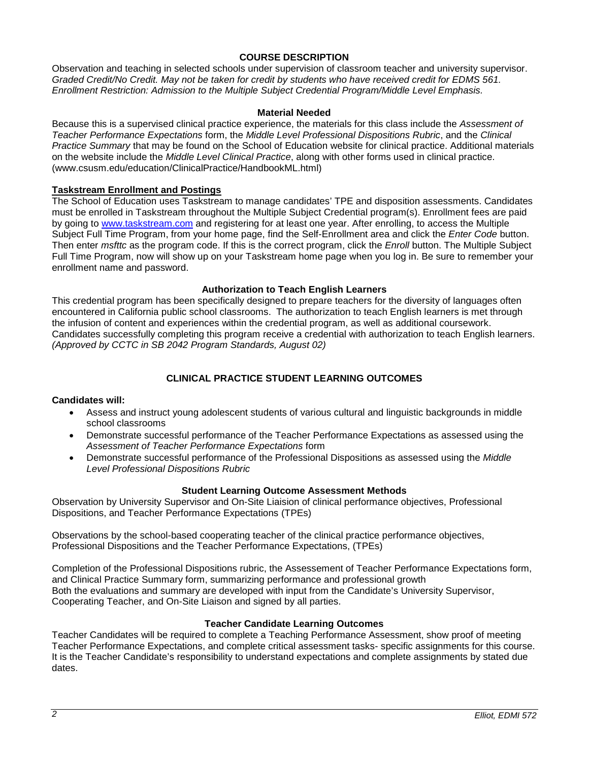## **COURSE DESCRIPTION**

Observation and teaching in selected schools under supervision of classroom teacher and university supervisor. *Graded Credit/No Credit. May not be taken for credit by students who have received credit for EDMS 561. Enrollment Restriction: Admission to the Multiple Subject Credential Program/Middle Level Emphasis.*

### **Material Needed**

Because this is a supervised clinical practice experience, the materials for this class include the *Assessment of Teacher Performance Expectations* form, the *Middle Level Professional Dispositions Rubric*, and the *Clinical Practice Summary* that may be found on the School of Education website for clinical practice. Additional materials on the website include the *Middle Level Clinical Practice*, along with other forms used in clinical practice. (www.csusm.edu/education/ClinicalPractice/HandbookML.html)

## **Taskstream Enrollment and Postings**

The School of Education uses Taskstream to manage candidates' TPE and disposition assessments. Candidates must be enrolled in Taskstream throughout the Multiple Subject Credential program(s). Enrollment fees are paid by going to [www.taskstream.com](http://www.taskstrem.com/) and registering for at least one year. After enrolling, to access the Multiple Subject Full Time Program, from your home page, find the Self-Enrollment area and click the *Enter Code* button. Then enter *msfttc* as the program code. If this is the correct program, click the *Enroll* button. The Multiple Subject Full Time Program, now will show up on your Taskstream home page when you log in. Be sure to remember your enrollment name and password.

### **Authorization to Teach English Learners**

This credential program has been specifically designed to prepare teachers for the diversity of languages often encountered in California public school classrooms. The authorization to teach English learners is met through the infusion of content and experiences within the credential program, as well as additional coursework. Candidates successfully completing this program receive a credential with authorization to teach English learners. *(Approved by CCTC in SB 2042 Program Standards, August 02)*

## **CLINICAL PRACTICE STUDENT LEARNING OUTCOMES**

#### **Candidates will:**

- Assess and instruct young adolescent students of various cultural and linguistic backgrounds in middle school classrooms
- Demonstrate successful performance of the Teacher Performance Expectations as assessed using the *Assessment of Teacher Performance Expectations* form
- Demonstrate successful performance of the Professional Dispositions as assessed using the *Middle Level Professional Dispositions Rubric*

#### **Student Learning Outcome Assessment Methods**

Observation by University Supervisor and On-Site Liaision of clinical performance objectives, Professional Dispositions, and Teacher Performance Expectations (TPEs)

Observations by the school-based cooperating teacher of the clinical practice performance objectives, Professional Dispositions and the Teacher Performance Expectations, (TPEs)

Completion of the Professional Dispositions rubric, the Assessement of Teacher Performance Expectations form, and Clinical Practice Summary form, summarizing performance and professional growth Both the evaluations and summary are developed with input from the Candidate's University Supervisor, Cooperating Teacher, and On-Site Liaison and signed by all parties.

### **Teacher Candidate Learning Outcomes**

Teacher Candidates will be required to complete a Teaching Performance Assessment, show proof of meeting Teacher Performance Expectations, and complete critical assessment tasks- specific assignments for this course. It is the Teacher Candidate's responsibility to understand expectations and complete assignments by stated due dates.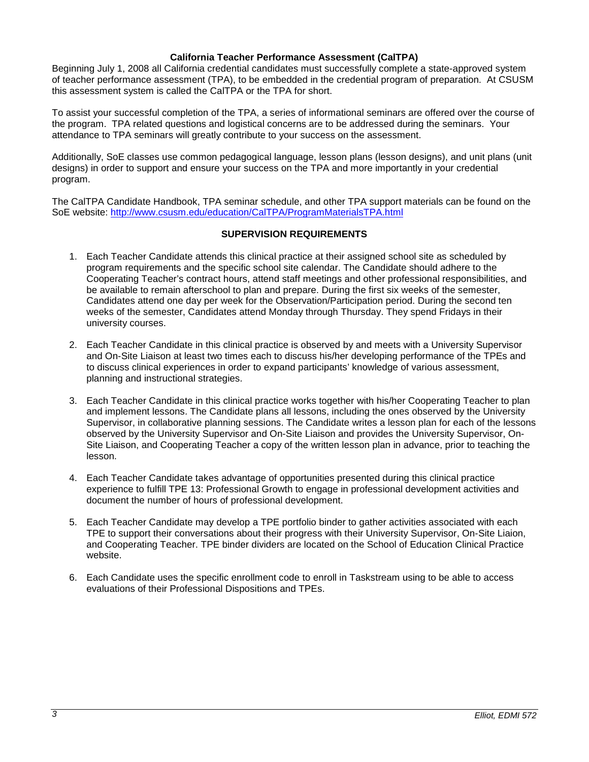### **California Teacher Performance Assessment (CalTPA)**

Beginning July 1, 2008 all California credential candidates must successfully complete a state-approved system of teacher performance assessment (TPA), to be embedded in the credential program of preparation. At CSUSM this assessment system is called the CalTPA or the TPA for short.

To assist your successful completion of the TPA, a series of informational seminars are offered over the course of the program. TPA related questions and logistical concerns are to be addressed during the seminars. Your attendance to TPA seminars will greatly contribute to your success on the assessment.

Additionally, SoE classes use common pedagogical language, lesson plans (lesson designs), and unit plans (unit designs) in order to support and ensure your success on the TPA and more importantly in your credential program.

The CalTPA Candidate Handbook, TPA seminar schedule, and other TPA support materials can be found on the SoE website:<http://www.csusm.edu/education/CalTPA/ProgramMaterialsTPA.html>

## **SUPERVISION REQUIREMENTS**

- 1. Each Teacher Candidate attends this clinical practice at their assigned school site as scheduled by program requirements and the specific school site calendar. The Candidate should adhere to the Cooperating Teacher's contract hours, attend staff meetings and other professional responsibilities, and be available to remain afterschool to plan and prepare. During the first six weeks of the semester, Candidates attend one day per week for the Observation/Participation period. During the second ten weeks of the semester, Candidates attend Monday through Thursday. They spend Fridays in their university courses.
- 2. Each Teacher Candidate in this clinical practice is observed by and meets with a University Supervisor and On-Site Liaison at least two times each to discuss his/her developing performance of the TPEs and to discuss clinical experiences in order to expand participants' knowledge of various assessment, planning and instructional strategies.
- 3. Each Teacher Candidate in this clinical practice works together with his/her Cooperating Teacher to plan and implement lessons. The Candidate plans all lessons, including the ones observed by the University Supervisor, in collaborative planning sessions. The Candidate writes a lesson plan for each of the lessons observed by the University Supervisor and On-Site Liaison and provides the University Supervisor, On-Site Liaison, and Cooperating Teacher a copy of the written lesson plan in advance, prior to teaching the lesson.
- 4. Each Teacher Candidate takes advantage of opportunities presented during this clinical practice experience to fulfill TPE 13: Professional Growth to engage in professional development activities and document the number of hours of professional development.
- 5. Each Teacher Candidate may develop a TPE portfolio binder to gather activities associated with each TPE to support their conversations about their progress with their University Supervisor, On-Site Liaion, and Cooperating Teacher. TPE binder dividers are located on the School of Education Clinical Practice website.
- 6. Each Candidate uses the specific enrollment code to enroll in Taskstream using to be able to access evaluations of their Professional Dispositions and TPEs.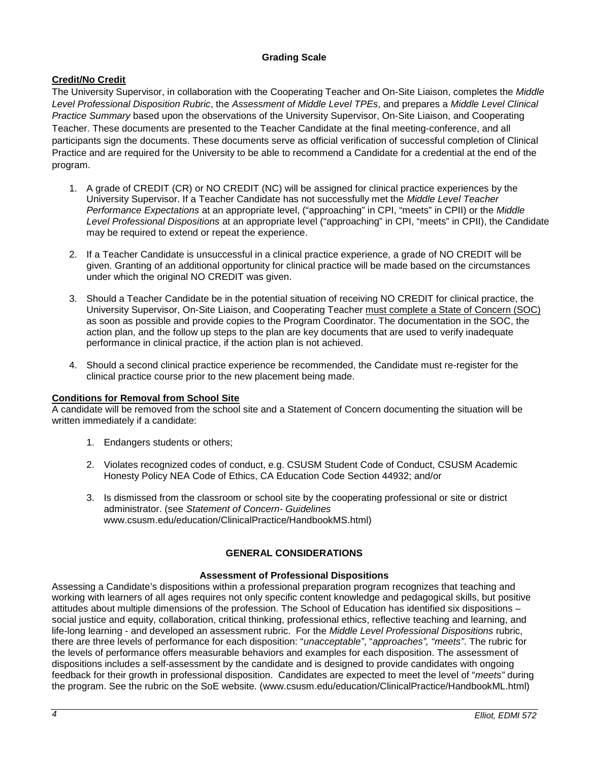## **Grading Scale**

# **Credit/No Credit**

The University Supervisor, in collaboration with the Cooperating Teacher and On-Site Liaison, completes the *Middle Level Professional Disposition Rubric*, the *Assessment of Middle Level TPEs*, and prepares a *Middle Level Clinical Practice Summary* based upon the observations of the University Supervisor, On-Site Liaison, and Cooperating Teacher. These documents are presented to the Teacher Candidate at the final meeting-conference, and all participants sign the documents. These documents serve as official verification of successful completion of Clinical Practice and are required for the University to be able to recommend a Candidate for a credential at the end of the program.

- 1. A grade of CREDIT (CR) or NO CREDIT (NC) will be assigned for clinical practice experiences by the University Supervisor. If a Teacher Candidate has not successfully met the *Middle Level Teacher Performance Expectations* at an appropriate level, ("approaching" in CPI, "meets" in CPII) or the *Middle Level Professional Dispositions* at an appropriate level ("approaching" in CPI, "meets" in CPII), the Candidate may be required to extend or repeat the experience.
- 2. If a Teacher Candidate is unsuccessful in a clinical practice experience, a grade of NO CREDIT will be given. Granting of an additional opportunity for clinical practice will be made based on the circumstances under which the original NO CREDIT was given.
- 3. Should a Teacher Candidate be in the potential situation of receiving NO CREDIT for clinical practice, the University Supervisor, On-Site Liaison, and Cooperating Teacher must complete a State of Concern (SOC) as soon as possible and provide copies to the Program Coordinator. The documentation in the SOC, the action plan, and the follow up steps to the plan are key documents that are used to verify inadequate performance in clinical practice, if the action plan is not achieved.
- 4. Should a second clinical practice experience be recommended, the Candidate must re-register for the clinical practice course prior to the new placement being made.

## **Conditions for Removal from School Site**

A candidate will be removed from the school site and a Statement of Concern documenting the situation will be written immediately if a candidate:

- 1. Endangers students or others;
- 2. Violates recognized codes of conduct, e.g. CSUSM Student Code of Conduct, CSUSM Academic Honesty Policy NEA Code of Ethics, CA Education Code Section 44932; and/or
- 3. Is dismissed from the classroom or school site by the cooperating professional or site or district administrator. (see *Statement of Concern- Guidelines* www.csusm.edu/education/ClinicalPractice/HandbookMS.html)

# **GENERAL CONSIDERATIONS**

## **Assessment of Professional Dispositions**

Assessing a Candidate's dispositions within a professional preparation program recognizes that teaching and working with learners of all ages requires not only specific content knowledge and pedagogical skills, but positive attitudes about multiple dimensions of the profession. The School of Education has identified six dispositions – social justice and equity, collaboration, critical thinking, professional ethics, reflective teaching and learning, and life-long learning - and developed an assessment rubric. For the *Middle Level Professional Dispositions* rubric, there are three levels of performance for each disposition: "*unacceptable"*, "*approaches", "meets"*. The rubric for the levels of performance offers measurable behaviors and examples for each disposition. The assessment of dispositions includes a self-assessment by the candidate and is designed to provide candidates with ongoing feedback for their growth in professional disposition. Candidates are expected to meet the level of "*meets"* during the program. See the rubric on the SoE website. (www.csusm.edu/education/ClinicalPractice/HandbookML.html)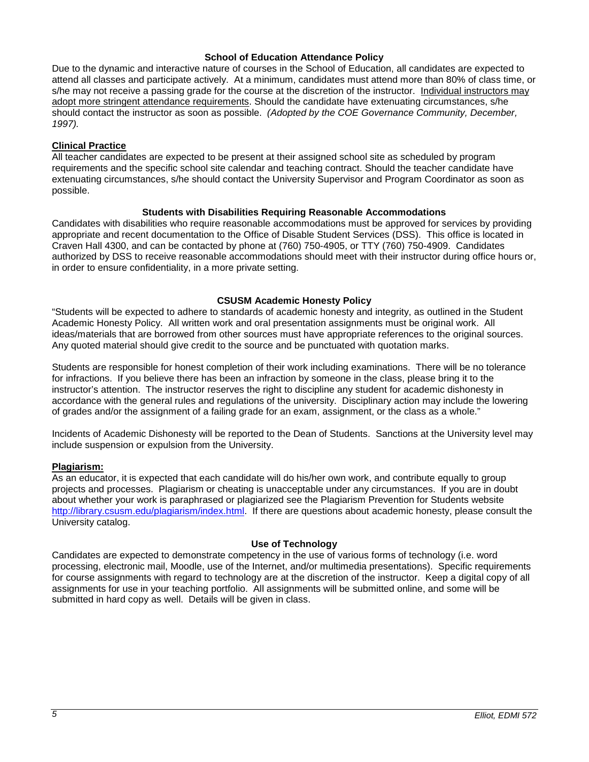### **School of Education Attendance Policy**

Due to the dynamic and interactive nature of courses in the School of Education, all candidates are expected to attend all classes and participate actively. At a minimum, candidates must attend more than 80% of class time, or s/he may not receive a passing grade for the course at the discretion of the instructor. Individual instructors may adopt more stringent attendance requirements. Should the candidate have extenuating circumstances, s/he should contact the instructor as soon as possible. *(Adopted by the COE Governance Community, December, 1997).*

## **Clinical Practice**

All teacher candidates are expected to be present at their assigned school site as scheduled by program requirements and the specific school site calendar and teaching contract. Should the teacher candidate have extenuating circumstances, s/he should contact the University Supervisor and Program Coordinator as soon as possible.

## **Students with Disabilities Requiring Reasonable Accommodations**

Candidates with disabilities who require reasonable accommodations must be approved for services by providing appropriate and recent documentation to the Office of Disable Student Services (DSS). This office is located in Craven Hall 4300, and can be contacted by phone at (760) 750-4905, or TTY (760) 750-4909. Candidates authorized by DSS to receive reasonable accommodations should meet with their instructor during office hours or, in order to ensure confidentiality, in a more private setting.

## **CSUSM Academic Honesty Policy**

"Students will be expected to adhere to standards of academic honesty and integrity, as outlined in the Student Academic Honesty Policy. All written work and oral presentation assignments must be original work. All ideas/materials that are borrowed from other sources must have appropriate references to the original sources. Any quoted material should give credit to the source and be punctuated with quotation marks.

Students are responsible for honest completion of their work including examinations. There will be no tolerance for infractions. If you believe there has been an infraction by someone in the class, please bring it to the instructor's attention. The instructor reserves the right to discipline any student for academic dishonesty in accordance with the general rules and regulations of the university. Disciplinary action may include the lowering of grades and/or the assignment of a failing grade for an exam, assignment, or the class as a whole."

Incidents of Academic Dishonesty will be reported to the Dean of Students. Sanctions at the University level may include suspension or expulsion from the University.

## **Plagiarism:**

As an educator, it is expected that each candidate will do his/her own work, and contribute equally to group projects and processes. Plagiarism or cheating is unacceptable under any circumstances. If you are in doubt about whether your work is paraphrased or plagiarized see the Plagiarism Prevention for Students website [http://library.csusm.edu/plagiarism/index.html.](http://library.csusm.edu/plagiarism/index.html) If there are questions about academic honesty, please consult the University catalog.

## **Use of Technology**

Candidates are expected to demonstrate competency in the use of various forms of technology (i.e. word processing, electronic mail, Moodle, use of the Internet, and/or multimedia presentations). Specific requirements for course assignments with regard to technology are at the discretion of the instructor. Keep a digital copy of all assignments for use in your teaching portfolio. All assignments will be submitted online, and some will be submitted in hard copy as well. Details will be given in class.